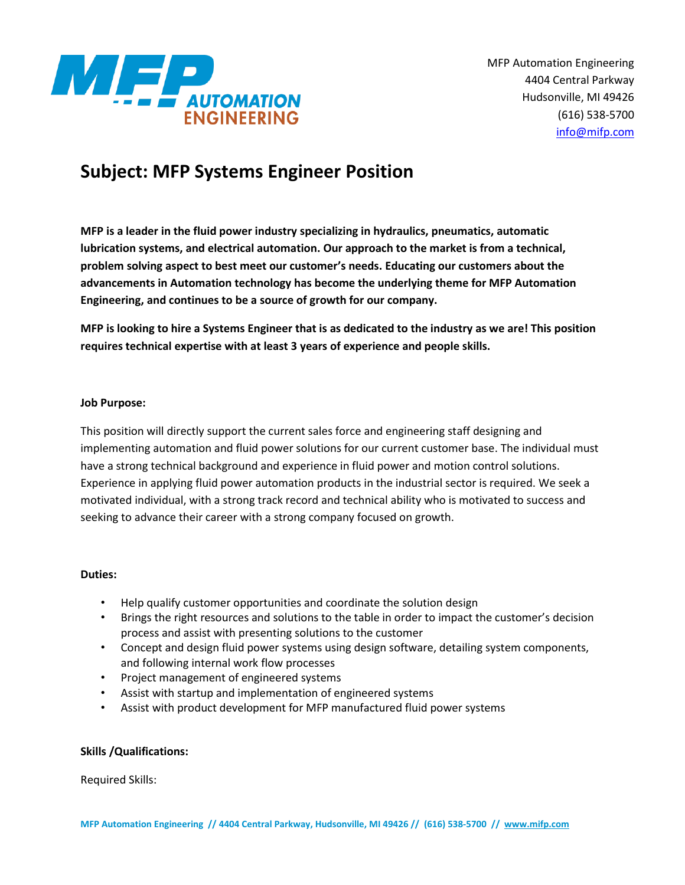

# **Subject: MFP Systems Engineer Position**

**MFP is a leader in the fluid power industry specializing in hydraulics, pneumatics, automatic lubrication systems, and electrical automation. Our approach to the market is from a technical, problem solving aspect to best meet our customer's needs. Educating our customers about the advancements in Automation technology has become the underlying theme for MFP Automation Engineering, and continues to be a source of growth for our company.**

**MFP is looking to hire a Systems Engineer that is as dedicated to the industry as we are! This position requires technical expertise with at least 3 years of experience and people skills.** 

## **Job Purpose:**

This position will directly support the current sales force and engineering staff designing and implementing automation and fluid power solutions for our current customer base. The individual must have a strong technical background and experience in fluid power and motion control solutions. Experience in applying fluid power automation products in the industrial sector is required. We seek a motivated individual, with a strong track record and technical ability who is motivated to success and seeking to advance their career with a strong company focused on growth.

# **Duties:**

- Help qualify customer opportunities and coordinate the solution design
- Brings the right resources and solutions to the table in order to impact the customer's decision process and assist with presenting solutions to the customer
- Concept and design fluid power systems using design software, detailing system components, and following internal work flow processes
- Project management of engineered systems
- Assist with startup and implementation of engineered systems
- Assist with product development for MFP manufactured fluid power systems

# **Skills /Qualifications:**

Required Skills: